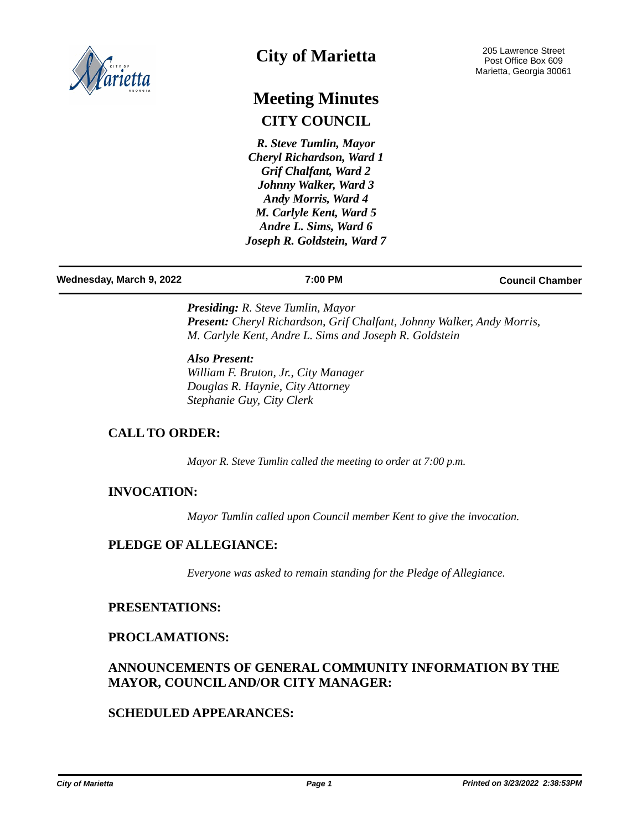

# **City of Marietta**

# **Meeting Minutes CITY COUNCIL**

*R. Steve Tumlin, Mayor Cheryl Richardson, Ward 1 Grif Chalfant, Ward 2 Johnny Walker, Ward 3 Andy Morris, Ward 4 M. Carlyle Kent, Ward 5 Andre L. Sims, Ward 6 Joseph R. Goldstein, Ward 7*

#### **Wednesday, March 9, 2022 7:00 PM Council Chamber**

*Presiding: R. Steve Tumlin, Mayor Present: Cheryl Richardson, Grif Chalfant, Johnny Walker, Andy Morris, M. Carlyle Kent, Andre L. Sims and Joseph R. Goldstein*

*Also Present: William F. Bruton, Jr., City Manager Douglas R. Haynie, City Attorney Stephanie Guy, City Clerk*

## **CALL TO ORDER:**

*Mayor R. Steve Tumlin called the meeting to order at 7:00 p.m.*

## **INVOCATION:**

*Mayor Tumlin called upon Council member Kent to give the invocation.*

## **PLEDGE OF ALLEGIANCE:**

*Everyone was asked to remain standing for the Pledge of Allegiance.*

#### **PRESENTATIONS:**

#### **PROCLAMATIONS:**

# **ANNOUNCEMENTS OF GENERAL COMMUNITY INFORMATION BY THE MAYOR, COUNCIL AND/OR CITY MANAGER:**

#### **SCHEDULED APPEARANCES:**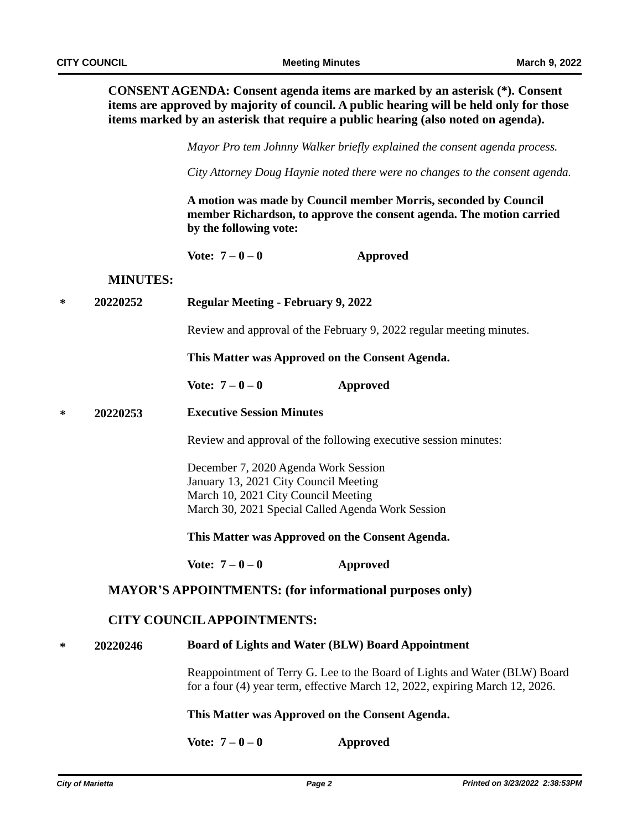**CONSENT AGENDA: Consent agenda items are marked by an asterisk (\*). Consent items are approved by majority of council. A public hearing will be held only for those items marked by an asterisk that require a public hearing (also noted on agenda).**

*Mayor Pro tem Johnny Walker briefly explained the consent agenda process.*

*City Attorney Doug Haynie noted there were no changes to the consent agenda.*

**A motion was made by Council member Morris, seconded by Council member Richardson, to approve the consent agenda. The motion carried by the following vote:**

Vote:  $7-0-0$  **Approved** 

#### **MINUTES:**

**\* 20220252 Regular Meeting - February 9, 2022**

Review and approval of the February 9, 2022 regular meeting minutes.

**This Matter was Approved on the Consent Agenda.**

**Vote: 7 – 0 – 0 Approved**

**\* 20220253 Executive Session Minutes**

Review and approval of the following executive session minutes:

December 7, 2020 Agenda Work Session January 13, 2021 City Council Meeting March 10, 2021 City Council Meeting March 30, 2021 Special Called Agenda Work Session

**This Matter was Approved on the Consent Agenda.**

**Vote: 7 – 0 – 0 Approved**

**MAYOR'S APPOINTMENTS: (for informational purposes only)**

#### **CITY COUNCIL APPOINTMENTS:**

**\* 20220246 Board of Lights and Water (BLW) Board Appointment**

Reappointment of Terry G. Lee to the Board of Lights and Water (BLW) Board for a four (4) year term, effective March 12, 2022, expiring March 12, 2026.

#### **This Matter was Approved on the Consent Agenda.**

**Vote: 7 – 0 – 0 Approved**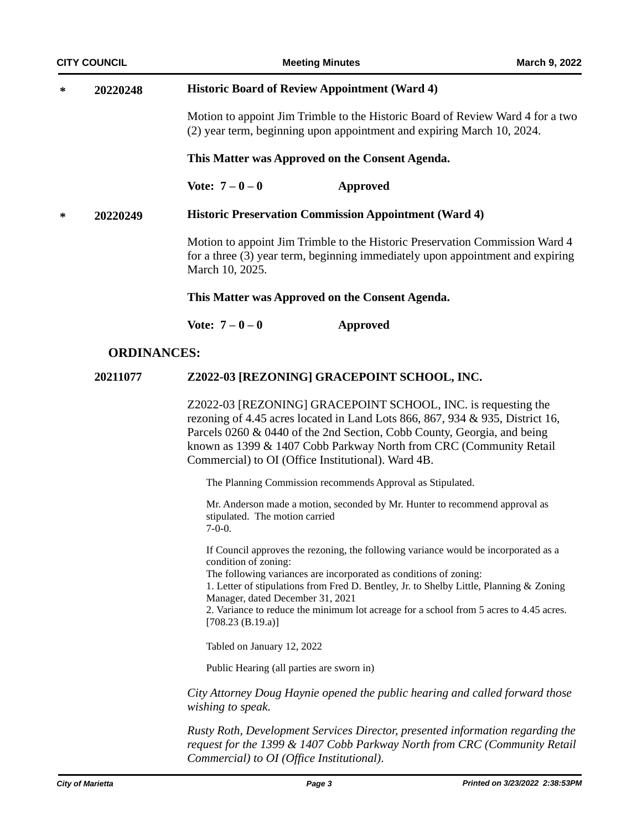| <b>CITY COUNCIL</b> |                                                                          | <b>Meeting Minutes</b>                                                                                                                                                                                                                                                                                                                                |                                                                                                                                                                | March 9, 2022 |  |  |  |
|---------------------|--------------------------------------------------------------------------|-------------------------------------------------------------------------------------------------------------------------------------------------------------------------------------------------------------------------------------------------------------------------------------------------------------------------------------------------------|----------------------------------------------------------------------------------------------------------------------------------------------------------------|---------------|--|--|--|
| ∗                   | 20220248                                                                 | <b>Historic Board of Review Appointment (Ward 4)</b>                                                                                                                                                                                                                                                                                                  |                                                                                                                                                                |               |  |  |  |
|                     |                                                                          |                                                                                                                                                                                                                                                                                                                                                       | Motion to appoint Jim Trimble to the Historic Board of Review Ward 4 for a two<br>(2) year term, beginning upon appointment and expiring March 10, 2024.       |               |  |  |  |
|                     |                                                                          |                                                                                                                                                                                                                                                                                                                                                       | This Matter was Approved on the Consent Agenda.                                                                                                                |               |  |  |  |
|                     |                                                                          | Vote: $7 - 0 - 0$                                                                                                                                                                                                                                                                                                                                     | <b>Approved</b>                                                                                                                                                |               |  |  |  |
| ∗                   | <b>Historic Preservation Commission Appointment (Ward 4)</b><br>20220249 |                                                                                                                                                                                                                                                                                                                                                       |                                                                                                                                                                |               |  |  |  |
|                     |                                                                          | March 10, 2025.                                                                                                                                                                                                                                                                                                                                       | Motion to appoint Jim Trimble to the Historic Preservation Commission Ward 4<br>for a three (3) year term, beginning immediately upon appointment and expiring |               |  |  |  |
|                     |                                                                          | This Matter was Approved on the Consent Agenda.                                                                                                                                                                                                                                                                                                       |                                                                                                                                                                |               |  |  |  |
|                     |                                                                          | Vote: $7 - 0 - 0$                                                                                                                                                                                                                                                                                                                                     | <b>Approved</b>                                                                                                                                                |               |  |  |  |
|                     | <b>ORDINANCES:</b>                                                       |                                                                                                                                                                                                                                                                                                                                                       |                                                                                                                                                                |               |  |  |  |
|                     | 20211077                                                                 | Z2022-03 [REZONING] GRACEPOINT SCHOOL, INC.                                                                                                                                                                                                                                                                                                           |                                                                                                                                                                |               |  |  |  |
|                     |                                                                          | Z2022-03 [REZONING] GRACEPOINT SCHOOL, INC. is requesting the<br>rezoning of 4.45 acres located in Land Lots 866, 867, 934 & 935, District 16,<br>Parcels 0260 & 0440 of the 2nd Section, Cobb County, Georgia, and being<br>known as 1399 & 1407 Cobb Parkway North from CRC (Community Retail<br>Commercial) to OI (Office Institutional). Ward 4B. |                                                                                                                                                                |               |  |  |  |
|                     |                                                                          | The Planning Commission recommends Approval as Stipulated.                                                                                                                                                                                                                                                                                            |                                                                                                                                                                |               |  |  |  |
|                     |                                                                          | stipulated. The motion carried<br>$7-0-0.$                                                                                                                                                                                                                                                                                                            | Mr. Anderson made a motion, seconded by Mr. Hunter to recommend approval as                                                                                    |               |  |  |  |
|                     |                                                                          |                                                                                                                                                                                                                                                                                                                                                       | If Council epproves the rezoning the following vertices would be incorporated as a                                                                             |               |  |  |  |

If Council approves the rezoning, the following variance would be incorporated as a condition of zoning:

The following variances are incorporated as conditions of zoning:

1. Letter of stipulations from Fred D. Bentley, Jr. to Shelby Little, Planning & Zoning Manager, dated December 31, 2021

2. Variance to reduce the minimum lot acreage for a school from 5 acres to 4.45 acres.  $[708.23 (B.19.a)]$ 

Tabled on January 12, 2022

Public Hearing (all parties are sworn in)

*City Attorney Doug Haynie opened the public hearing and called forward those wishing to speak.*

*Rusty Roth, Development Services Director, presented information regarding the request for the 1399 & 1407 Cobb Parkway North from CRC (Community Retail Commercial) to OI (Office Institutional).*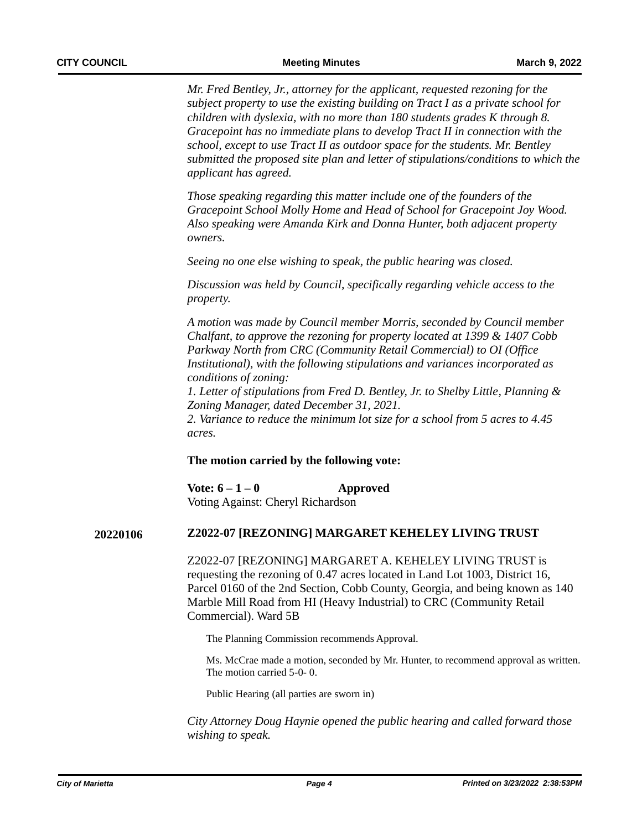*Mr. Fred Bentley, Jr., attorney for the applicant, requested rezoning for the subject property to use the existing building on Tract I as a private school for children with dyslexia, with no more than 180 students grades K through 8. Gracepoint has no immediate plans to develop Tract II in connection with the school, except to use Tract II as outdoor space for the students. Mr. Bentley submitted the proposed site plan and letter of stipulations/conditions to which the applicant has agreed.*

*Those speaking regarding this matter include one of the founders of the Gracepoint School Molly Home and Head of School for Gracepoint Joy Wood. Also speaking were Amanda Kirk and Donna Hunter, both adjacent property owners.*

*Seeing no one else wishing to speak, the public hearing was closed.*

*Discussion was held by Council, specifically regarding vehicle access to the property.* 

*A motion was made by Council member Morris, seconded by Council member Chalfant, to approve the rezoning for property located at 1399 & 1407 Cobb Parkway North from CRC (Community Retail Commercial) to OI (Office Institutional), with the following stipulations and variances incorporated as conditions of zoning:*

*1. Letter of stipulations from Fred D. Bentley, Jr. to Shelby Little, Planning & Zoning Manager, dated December 31, 2021.*

*2. Variance to reduce the minimum lot size for a school from 5 acres to 4.45 acres.* 

#### **The motion carried by the following vote:**

**Vote: 6 – 1 – 0 Approved** Voting Against: Cheryl Richardson

#### **Z2022-07 [REZONING] MARGARET KEHELEY LIVING TRUST 20220106**

Z2022-07 [REZONING] MARGARET A. KEHELEY LIVING TRUST is requesting the rezoning of 0.47 acres located in Land Lot 1003, District 16, Parcel 0160 of the 2nd Section, Cobb County, Georgia, and being known as 140 Marble Mill Road from HI (Heavy Industrial) to CRC (Community Retail Commercial). Ward 5B

The Planning Commission recommends Approval.

Ms. McCrae made a motion, seconded by Mr. Hunter, to recommend approval as written. The motion carried 5-0- 0.

Public Hearing (all parties are sworn in)

*City Attorney Doug Haynie opened the public hearing and called forward those wishing to speak.*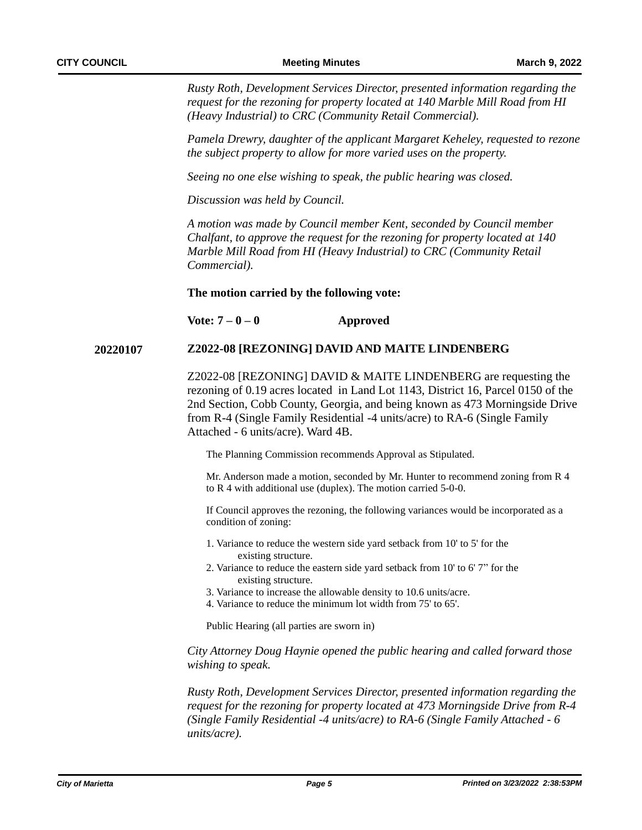*Rusty Roth, Development Services Director, presented information regarding the request for the rezoning for property located at 140 Marble Mill Road from HI (Heavy Industrial) to CRC (Community Retail Commercial).* 

*Pamela Drewry, daughter of the applicant Margaret Keheley, requested to rezone the subject property to allow for more varied uses on the property.*

*Seeing no one else wishing to speak, the public hearing was closed.*

*Discussion was held by Council.* 

*A motion was made by Council member Kent, seconded by Council member Chalfant, to approve the request for the rezoning for property located at 140 Marble Mill Road from HI (Heavy Industrial) to CRC (Community Retail Commercial).*

**The motion carried by the following vote:**

#### **Vote: 7 – 0 – 0 Approved**

#### **Z2022-08 [REZONING] DAVID AND MAITE LINDENBERG 20220107**

Z2022-08 [REZONING] DAVID & MAITE LINDENBERG are requesting the rezoning of 0.19 acres located in Land Lot 1143, District 16, Parcel 0150 of the 2nd Section, Cobb County, Georgia, and being known as 473 Morningside Drive from R-4 (Single Family Residential -4 units/acre) to RA-6 (Single Family Attached - 6 units/acre). Ward 4B.

The Planning Commission recommends Approval as Stipulated.

Mr. Anderson made a motion, seconded by Mr. Hunter to recommend zoning from R 4 to R 4 with additional use (duplex). The motion carried 5-0-0.

If Council approves the rezoning, the following variances would be incorporated as a condition of zoning:

- 1. Variance to reduce the western side yard setback from 10' to 5' for the existing structure.
- 2. Variance to reduce the eastern side yard setback from 10' to 6' 7" for the existing structure.
- 3. Variance to increase the allowable density to 10.6 units/acre.
- 4. Variance to reduce the minimum lot width from 75' to 65'.

Public Hearing (all parties are sworn in)

*City Attorney Doug Haynie opened the public hearing and called forward those wishing to speak.*

*Rusty Roth, Development Services Director, presented information regarding the request for the rezoning for property located at 473 Morningside Drive from R-4 (Single Family Residential -4 units/acre) to RA-6 (Single Family Attached - 6 units/acre).*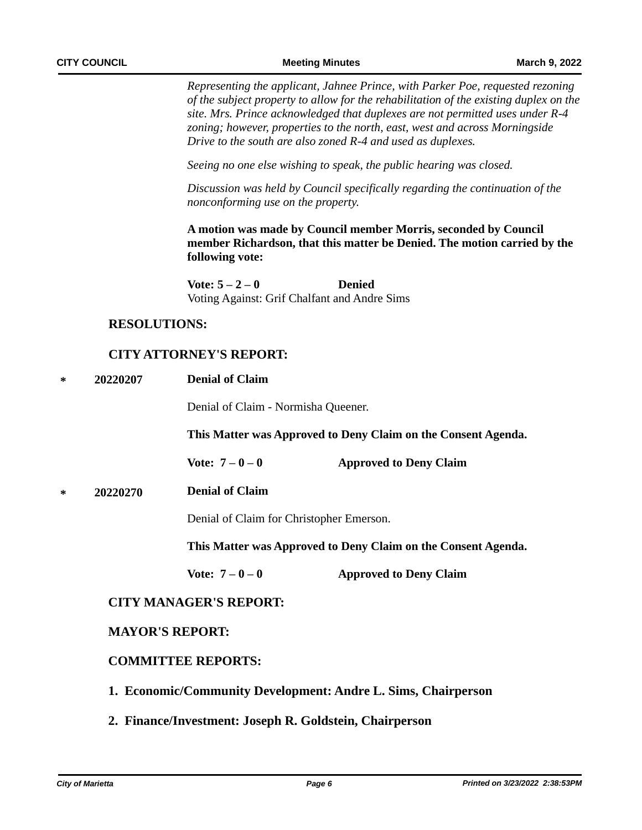*Representing the applicant, Jahnee Prince, with Parker Poe, requested rezoning of the subject property to allow for the rehabilitation of the existing duplex on the site. Mrs. Prince acknowledged that duplexes are not permitted uses under R-4 zoning; however, properties to the north, east, west and across Morningside Drive to the south are also zoned R-4 and used as duplexes.*

*Seeing no one else wishing to speak, the public hearing was closed.*

*Discussion was held by Council specifically regarding the continuation of the nonconforming use on the property.* 

**A motion was made by Council member Morris, seconded by Council member Richardson, that this matter be Denied. The motion carried by the following vote:**

**Vote: 5 – 2 – 0 Denied** Voting Against: Grif Chalfant and Andre Sims

#### **RESOLUTIONS:**

# **CITY ATTORNEY'S REPORT:**

**Denial of Claim 20220207 \***

Denial of Claim - Normisha Queener.

**This Matter was Approved to Deny Claim on the Consent Agenda.**

**Vote: 7 – 0 – 0 Approved to Deny Claim**

**Denial of Claim 20220270 \***

Denial of Claim for Christopher Emerson.

**This Matter was Approved to Deny Claim on the Consent Agenda.**

**Vote: 7 – 0 – 0 Approved to Deny Claim**

## **CITY MANAGER'S REPORT:**

#### **MAYOR'S REPORT:**

#### **COMMITTEE REPORTS:**

- **1. Economic/Community Development: Andre L. Sims, Chairperson**
- **2. Finance/Investment: Joseph R. Goldstein, Chairperson**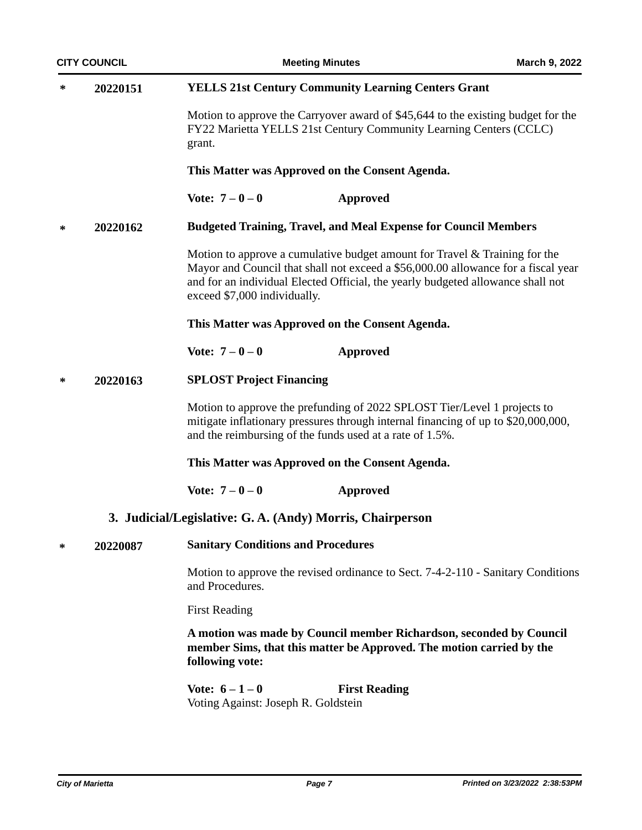| ∗             | 20220151 | <b>YELLS 21st Century Community Learning Centers Grant</b>                                                                                                                                                                                                                         |                                                                                                                                                        |  |  |
|---------------|----------|------------------------------------------------------------------------------------------------------------------------------------------------------------------------------------------------------------------------------------------------------------------------------------|--------------------------------------------------------------------------------------------------------------------------------------------------------|--|--|
|               |          | grant.                                                                                                                                                                                                                                                                             | Motion to approve the Carryover award of \$45,644 to the existing budget for the<br>FY22 Marietta YELLS 21st Century Community Learning Centers (CCLC) |  |  |
|               |          | This Matter was Approved on the Consent Agenda.                                                                                                                                                                                                                                    |                                                                                                                                                        |  |  |
|               |          | Vote: $7 - 0 - 0$                                                                                                                                                                                                                                                                  | <b>Approved</b>                                                                                                                                        |  |  |
| 20220162<br>∗ |          |                                                                                                                                                                                                                                                                                    | <b>Budgeted Training, Travel, and Meal Expense for Council Members</b>                                                                                 |  |  |
|               |          | Motion to approve a cumulative budget amount for Travel & Training for the<br>Mayor and Council that shall not exceed a \$56,000.00 allowance for a fiscal year<br>and for an individual Elected Official, the yearly budgeted allowance shall not<br>exceed \$7,000 individually. |                                                                                                                                                        |  |  |
|               |          | This Matter was Approved on the Consent Agenda.                                                                                                                                                                                                                                    |                                                                                                                                                        |  |  |
|               |          | Vote: $7 - 0 - 0$                                                                                                                                                                                                                                                                  | <b>Approved</b>                                                                                                                                        |  |  |
| ∗             | 20220163 | <b>SPLOST Project Financing</b>                                                                                                                                                                                                                                                    |                                                                                                                                                        |  |  |
|               |          | Motion to approve the prefunding of 2022 SPLOST Tier/Level 1 projects to<br>mitigate inflationary pressures through internal financing of up to \$20,000,000,<br>and the reimbursing of the funds used at a rate of 1.5%.                                                          |                                                                                                                                                        |  |  |
|               |          | This Matter was Approved on the Consent Agenda.                                                                                                                                                                                                                                    |                                                                                                                                                        |  |  |
|               |          | Vote: $7 - 0 - 0$                                                                                                                                                                                                                                                                  | <b>Approved</b>                                                                                                                                        |  |  |
|               |          | 3. Judicial/Legislative: G.A. (Andy) Morris, Chairperson                                                                                                                                                                                                                           |                                                                                                                                                        |  |  |
| ∗             | 20220087 | <b>Sanitary Conditions and Procedures</b>                                                                                                                                                                                                                                          |                                                                                                                                                        |  |  |
|               |          | Motion to approve the revised ordinance to Sect. 7-4-2-110 - Sanitary Conditions<br>and Procedures.                                                                                                                                                                                |                                                                                                                                                        |  |  |
|               |          | <b>First Reading</b>                                                                                                                                                                                                                                                               |                                                                                                                                                        |  |  |
|               |          | A motion was made by Council member Richardson, seconded by Council<br>member Sims, that this matter be Approved. The motion carried by the<br>following vote:                                                                                                                     |                                                                                                                                                        |  |  |
|               |          | Vote: $6 - 1 - 0$                                                                                                                                                                                                                                                                  | <b>First Reading</b>                                                                                                                                   |  |  |

Voting Against: Joseph R. Goldstein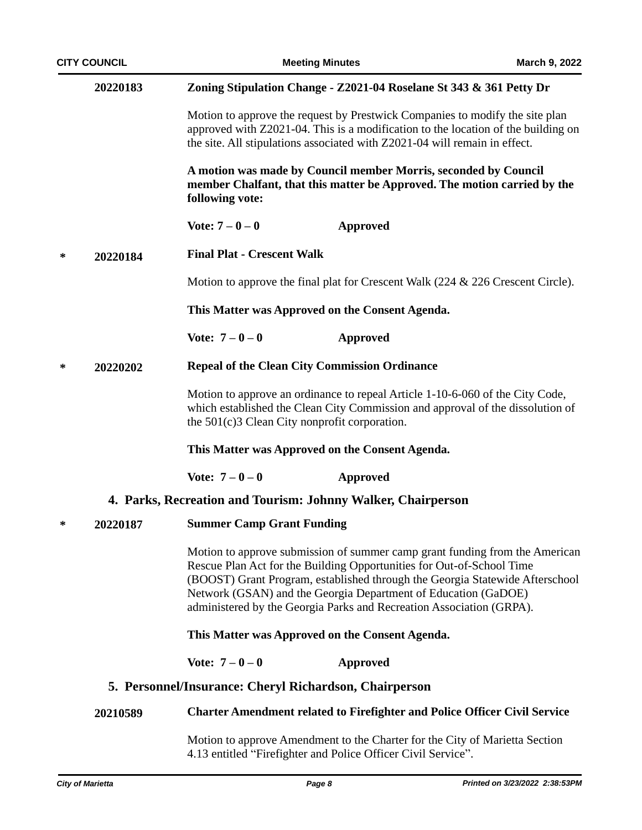| <b>CITY COUNCIL</b> |                         |                                                                                                                                                                                                                                                                                                                                                                                | <b>Meeting Minutes</b>                                                                                                                                                                                             |                                                                     |  |
|---------------------|-------------------------|--------------------------------------------------------------------------------------------------------------------------------------------------------------------------------------------------------------------------------------------------------------------------------------------------------------------------------------------------------------------------------|--------------------------------------------------------------------------------------------------------------------------------------------------------------------------------------------------------------------|---------------------------------------------------------------------|--|
|                     | 20220183                |                                                                                                                                                                                                                                                                                                                                                                                |                                                                                                                                                                                                                    | Zoning Stipulation Change - Z2021-04 Roselane St 343 & 361 Petty Dr |  |
|                     |                         | Motion to approve the request by Prestwick Companies to modify the site plan<br>approved with Z2021-04. This is a modification to the location of the building on<br>the site. All stipulations associated with Z2021-04 will remain in effect.                                                                                                                                |                                                                                                                                                                                                                    |                                                                     |  |
|                     |                         | A motion was made by Council member Morris, seconded by Council<br>member Chalfant, that this matter be Approved. The motion carried by the<br>following vote:                                                                                                                                                                                                                 |                                                                                                                                                                                                                    |                                                                     |  |
|                     |                         | Vote: $7 - 0 - 0$                                                                                                                                                                                                                                                                                                                                                              | <b>Approved</b>                                                                                                                                                                                                    |                                                                     |  |
| ∗                   | 20220184                | <b>Final Plat - Crescent Walk</b>                                                                                                                                                                                                                                                                                                                                              |                                                                                                                                                                                                                    |                                                                     |  |
|                     |                         | Motion to approve the final plat for Crescent Walk (224 & 226 Crescent Circle).                                                                                                                                                                                                                                                                                                |                                                                                                                                                                                                                    |                                                                     |  |
|                     |                         | This Matter was Approved on the Consent Agenda.                                                                                                                                                                                                                                                                                                                                |                                                                                                                                                                                                                    |                                                                     |  |
|                     |                         | Vote: $7 - 0 - 0$                                                                                                                                                                                                                                                                                                                                                              | <b>Approved</b>                                                                                                                                                                                                    |                                                                     |  |
| ∗                   | 20220202                | <b>Repeal of the Clean City Commission Ordinance</b>                                                                                                                                                                                                                                                                                                                           |                                                                                                                                                                                                                    |                                                                     |  |
|                     |                         |                                                                                                                                                                                                                                                                                                                                                                                | Motion to approve an ordinance to repeal Article 1-10-6-060 of the City Code,<br>which established the Clean City Commission and approval of the dissolution of<br>the $501(c)3$ Clean City nonprofit corporation. |                                                                     |  |
|                     |                         | This Matter was Approved on the Consent Agenda.                                                                                                                                                                                                                                                                                                                                |                                                                                                                                                                                                                    |                                                                     |  |
|                     |                         | Vote: $7 - 0 - 0$                                                                                                                                                                                                                                                                                                                                                              | <b>Approved</b>                                                                                                                                                                                                    |                                                                     |  |
|                     |                         | 4. Parks, Recreation and Tourism: Johnny Walker, Chairperson                                                                                                                                                                                                                                                                                                                   |                                                                                                                                                                                                                    |                                                                     |  |
|                     | 20220187                | <b>Summer Camp Grant Funding</b>                                                                                                                                                                                                                                                                                                                                               |                                                                                                                                                                                                                    |                                                                     |  |
|                     |                         | Motion to approve submission of summer camp grant funding from the American<br>Rescue Plan Act for the Building Opportunities for Out-of-School Time<br>(BOOST) Grant Program, established through the Georgia Statewide Afterschool<br>Network (GSAN) and the Georgia Department of Education (GaDOE)<br>administered by the Georgia Parks and Recreation Association (GRPA). |                                                                                                                                                                                                                    |                                                                     |  |
|                     |                         | This Matter was Approved on the Consent Agenda.                                                                                                                                                                                                                                                                                                                                |                                                                                                                                                                                                                    |                                                                     |  |
|                     |                         | Vote: $7 - 0 - 0$                                                                                                                                                                                                                                                                                                                                                              | <b>Approved</b>                                                                                                                                                                                                    |                                                                     |  |
|                     |                         | 5. Personnel/Insurance: Cheryl Richardson, Chairperson                                                                                                                                                                                                                                                                                                                         |                                                                                                                                                                                                                    |                                                                     |  |
|                     | 20210589                | <b>Charter Amendment related to Firefighter and Police Officer Civil Service</b>                                                                                                                                                                                                                                                                                               |                                                                                                                                                                                                                    |                                                                     |  |
|                     |                         |                                                                                                                                                                                                                                                                                                                                                                                | Motion to approve Amendment to the Charter for the City of Marietta Section<br>4.13 entitled "Firefighter and Police Officer Civil Service".                                                                       |                                                                     |  |
|                     | <b>City of Marietta</b> |                                                                                                                                                                                                                                                                                                                                                                                | Page 8                                                                                                                                                                                                             | Printed on 3/23/2022 2:38:53PM                                      |  |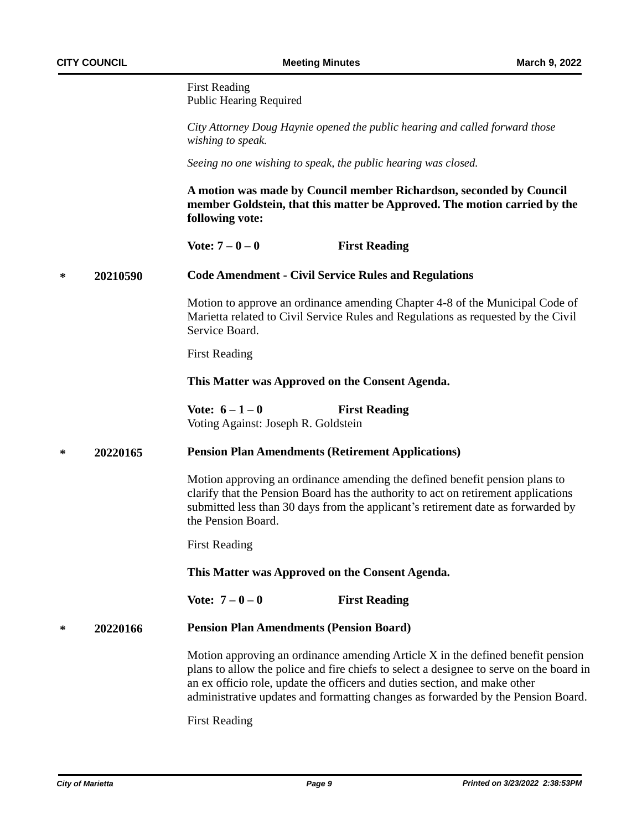First Reading Public Hearing Required

*City Attorney Doug Haynie opened the public hearing and called forward those wishing to speak.*

*Seeing no one wishing to speak, the public hearing was closed.*

**A motion was made by Council member Richardson, seconded by Council member Goldstein, that this matter be Approved. The motion carried by the following vote:**

**Vote: 7 – 0 – 0 First Reading**

#### **\* 20210590 Code Amendment - Civil Service Rules and Regulations**

Motion to approve an ordinance amending Chapter 4-8 of the Municipal Code of Marietta related to Civil Service Rules and Regulations as requested by the Civil Service Board.

First Reading

**This Matter was Approved on the Consent Agenda.**

**Vote:**  $6 - 1 - 0$  **First Reading** Voting Against: Joseph R. Goldstein

#### **\* 20220165 Pension Plan Amendments (Retirement Applications)**

Motion approving an ordinance amending the defined benefit pension plans to clarify that the Pension Board has the authority to act on retirement applications submitted less than 30 days from the applicant's retirement date as forwarded by the Pension Board.

First Reading

**This Matter was Approved on the Consent Agenda.**

**Vote: 7 – 0 – 0 First Reading**

#### **\* 20220166 Pension Plan Amendments (Pension Board)**

Motion approving an ordinance amending Article X in the defined benefit pension plans to allow the police and fire chiefs to select a designee to serve on the board in an ex officio role, update the officers and duties section, and make other administrative updates and formatting changes as forwarded by the Pension Board.

First Reading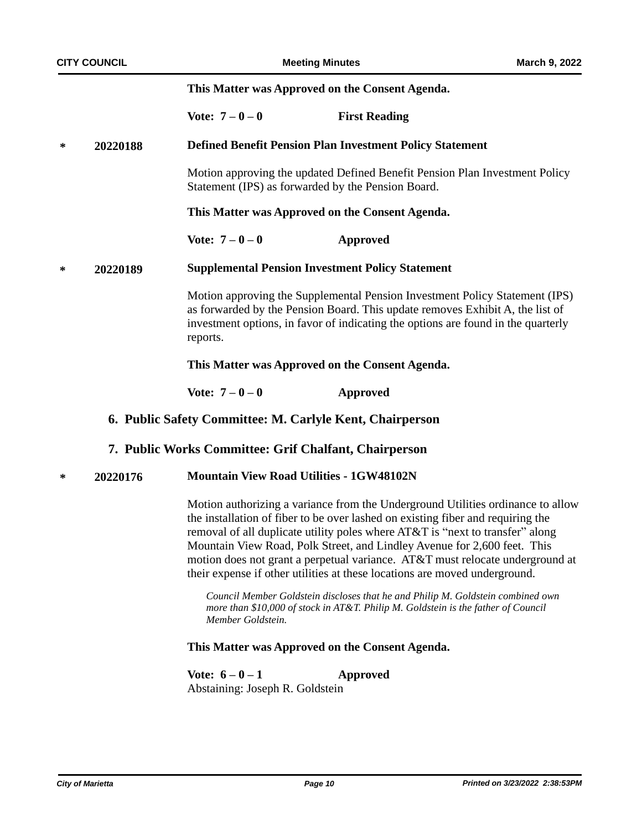#### **This Matter was Approved on the Consent Agenda.**

**Vote:**  $7 - 0 - 0$  **First Reading** 

#### **Defined Benefit Pension Plan Investment Policy Statement \* 20220188**

Motion approving the updated Defined Benefit Pension Plan Investment Policy Statement (IPS) as forwarded by the Pension Board.

#### **This Matter was Approved on the Consent Agenda.**

**Vote: 7 – 0 – 0 Approved**

#### **Supplemental Pension Investment Policy Statement 20220189 \***

Motion approving the Supplemental Pension Investment Policy Statement (IPS) as forwarded by the Pension Board. This update removes Exhibit A, the list of investment options, in favor of indicating the options are found in the quarterly reports.

#### **This Matter was Approved on the Consent Agenda.**

**Vote: 7 – 0 – 0 Approved**

#### **6. Public Safety Committee: M. Carlyle Kent, Chairperson**

#### **7. Public Works Committee: Grif Chalfant, Chairperson**

#### **\* 20220176 Mountain View Road Utilities - 1GW48102N**

Motion authorizing a variance from the Underground Utilities ordinance to allow the installation of fiber to be over lashed on existing fiber and requiring the removal of all duplicate utility poles where AT&T is "next to transfer" along Mountain View Road, Polk Street, and Lindley Avenue for 2,600 feet. This motion does not grant a perpetual variance. AT&T must relocate underground at their expense if other utilities at these locations are moved underground.

*Council Member Goldstein discloses that he and Philip M. Goldstein combined own more than \$10,000 of stock in AT&T. Philip M. Goldstein is the father of Council Member Goldstein.*

#### **This Matter was Approved on the Consent Agenda.**

**Vote: 6 – 0 – 1 Approved** Abstaining: Joseph R. Goldstein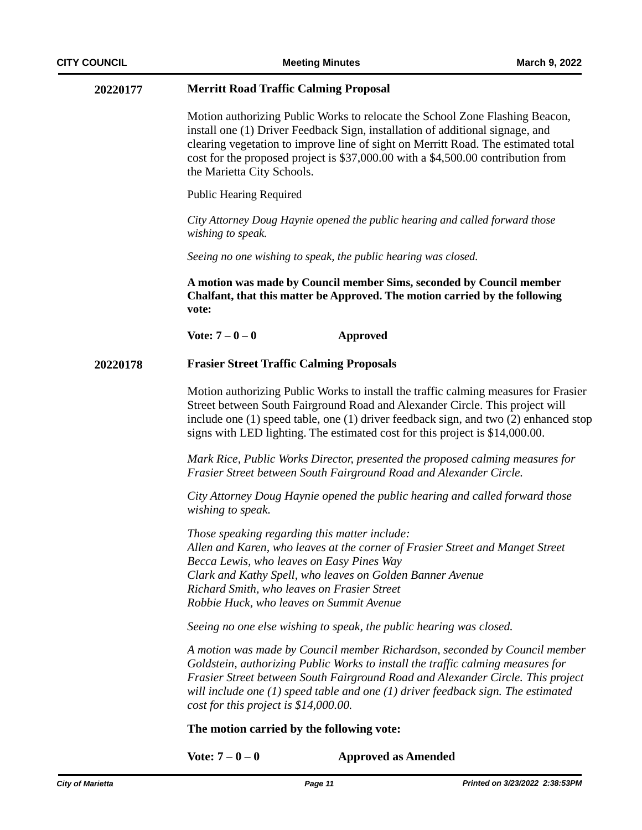#### **Merritt Road Traffic Calming Proposal 20220177**

Motion authorizing Public Works to relocate the School Zone Flashing Beacon, install one (1) Driver Feedback Sign, installation of additional signage, and clearing vegetation to improve line of sight on Merritt Road. The estimated total cost for the proposed project is \$37,000.00 with a \$4,500.00 contribution from the Marietta City Schools.

Public Hearing Required

*City Attorney Doug Haynie opened the public hearing and called forward those wishing to speak.*

*Seeing no one wishing to speak, the public hearing was closed.*

**A motion was made by Council member Sims, seconded by Council member Chalfant, that this matter be Approved. The motion carried by the following vote:**

**Vote: 7 – 0 – 0 Approved**

#### **20220178 Frasier Street Traffic Calming Proposals**

Motion authorizing Public Works to install the traffic calming measures for Frasier Street between South Fairground Road and Alexander Circle. This project will include one (1) speed table, one (1) driver feedback sign, and two (2) enhanced stop signs with LED lighting. The estimated cost for this project is \$14,000.00.

*Mark Rice, Public Works Director, presented the proposed calming measures for Frasier Street between South Fairground Road and Alexander Circle.*

*City Attorney Doug Haynie opened the public hearing and called forward those wishing to speak.*

*Those speaking regarding this matter include: Allen and Karen, who leaves at the corner of Frasier Street and Manget Street Becca Lewis, who leaves on Easy Pines Way Clark and Kathy Spell, who leaves on Golden Banner Avenue Richard Smith, who leaves on Frasier Street Robbie Huck, who leaves on Summit Avenue*

*Seeing no one else wishing to speak, the public hearing was closed.*

*A motion was made by Council member Richardson, seconded by Council member Goldstein, authorizing Public Works to install the traffic calming measures for Frasier Street between South Fairground Road and Alexander Circle. This project will include one (1) speed table and one (1) driver feedback sign. The estimated cost for this project is \$14,000.00.*

#### **The motion carried by the following vote:**

**Vote: 7 – 0 – 0 Approved as Amended**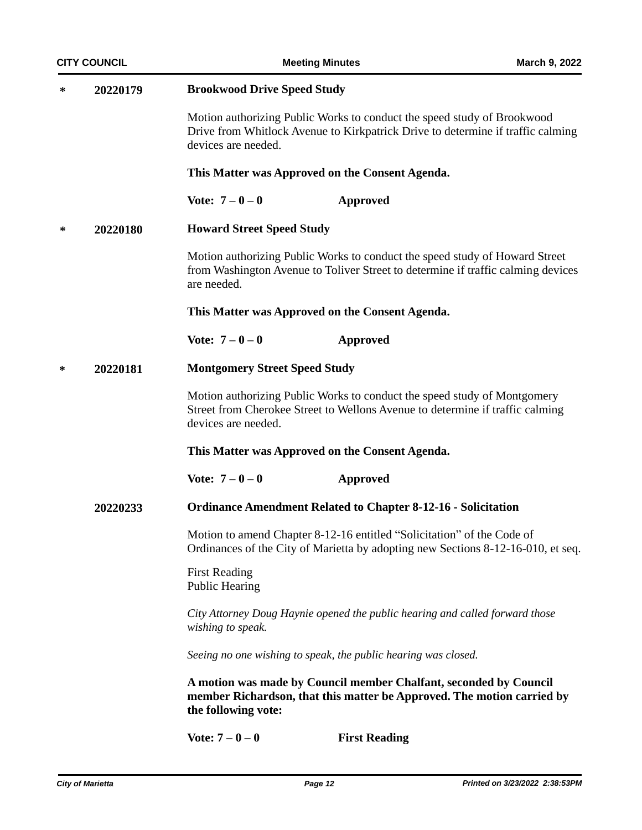| <b>CITY COUNCIL</b> |                                                  | <b>Meeting Minutes</b>                                                                                                                                                            |                                                                                                                                                                 | March 9, 2022 |  |
|---------------------|--------------------------------------------------|-----------------------------------------------------------------------------------------------------------------------------------------------------------------------------------|-----------------------------------------------------------------------------------------------------------------------------------------------------------------|---------------|--|
| ∗                   | 20220179                                         | <b>Brookwood Drive Speed Study</b>                                                                                                                                                |                                                                                                                                                                 |               |  |
|                     |                                                  | Motion authorizing Public Works to conduct the speed study of Brookwood<br>Drive from Whitlock Avenue to Kirkpatrick Drive to determine if traffic calming<br>devices are needed. |                                                                                                                                                                 |               |  |
|                     |                                                  |                                                                                                                                                                                   | This Matter was Approved on the Consent Agenda.                                                                                                                 |               |  |
|                     |                                                  | Vote: $7 - 0 - 0$                                                                                                                                                                 | <b>Approved</b>                                                                                                                                                 |               |  |
| ∗                   | <b>Howard Street Speed Study</b><br>20220180     |                                                                                                                                                                                   |                                                                                                                                                                 |               |  |
|                     |                                                  | are needed.                                                                                                                                                                       | Motion authorizing Public Works to conduct the speed study of Howard Street<br>from Washington Avenue to Toliver Street to determine if traffic calming devices |               |  |
|                     |                                                  | This Matter was Approved on the Consent Agenda.                                                                                                                                   |                                                                                                                                                                 |               |  |
|                     |                                                  | Vote: $7 - 0 - 0$                                                                                                                                                                 | <b>Approved</b>                                                                                                                                                 |               |  |
| ∗                   | <b>Montgomery Street Speed Study</b><br>20220181 |                                                                                                                                                                                   |                                                                                                                                                                 |               |  |
|                     |                                                  | devices are needed.                                                                                                                                                               | Motion authorizing Public Works to conduct the speed study of Montgomery<br>Street from Cherokee Street to Wellons Avenue to determine if traffic calming       |               |  |
|                     |                                                  | This Matter was Approved on the Consent Agenda.                                                                                                                                   |                                                                                                                                                                 |               |  |
|                     |                                                  | Vote: $7 - 0 - 0$                                                                                                                                                                 | Approved                                                                                                                                                        |               |  |
|                     | 20220233                                         |                                                                                                                                                                                   | <b>Ordinance Amendment Related to Chapter 8-12-16 - Solicitation</b>                                                                                            |               |  |
|                     |                                                  | Motion to amend Chapter 8-12-16 entitled "Solicitation" of the Code of<br>Ordinances of the City of Marietta by adopting new Sections 8-12-16-010, et seq.                        |                                                                                                                                                                 |               |  |
|                     |                                                  | <b>First Reading</b><br><b>Public Hearing</b>                                                                                                                                     |                                                                                                                                                                 |               |  |
|                     |                                                  | wishing to speak.                                                                                                                                                                 | City Attorney Doug Haynie opened the public hearing and called forward those                                                                                    |               |  |
|                     |                                                  | Seeing no one wishing to speak, the public hearing was closed.                                                                                                                    |                                                                                                                                                                 |               |  |
|                     |                                                  | A motion was made by Council member Chalfant, seconded by Council<br>member Richardson, that this matter be Approved. The motion carried by<br>the following vote:                |                                                                                                                                                                 |               |  |
|                     |                                                  | Vote: $7 - 0 - 0$                                                                                                                                                                 | <b>First Reading</b>                                                                                                                                            |               |  |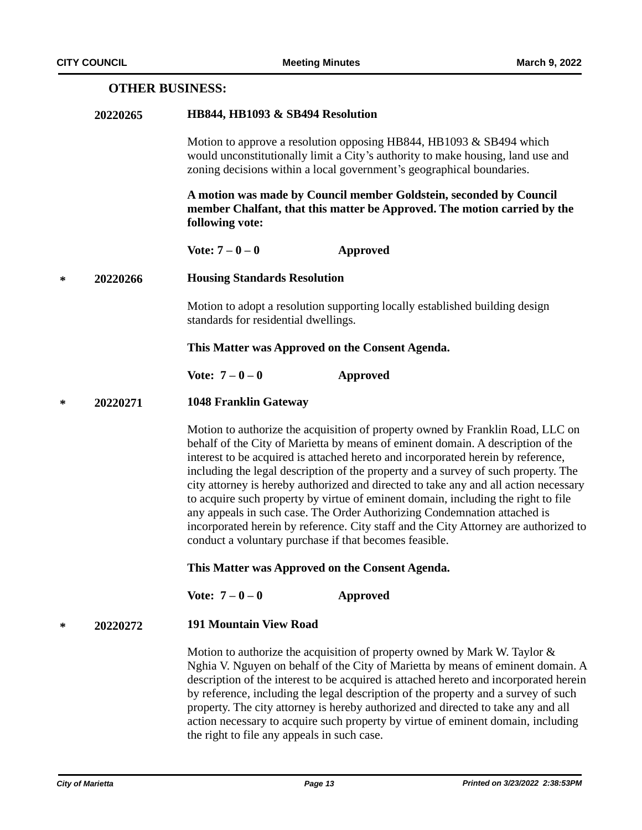#### **OTHER BUSINESS:**

#### **HB844, HB1093 & SB494 Resolution 20220265**

Motion to approve a resolution opposing HB844, HB1093 & SB494 which would unconstitutionally limit a City's authority to make housing, land use and zoning decisions within a local government's geographical boundaries.

**A motion was made by Council member Goldstein, seconded by Council member Chalfant, that this matter be Approved. The motion carried by the following vote:**

**Vote: 7 – 0 – 0 Approved**

#### **\* 20220266 Housing Standards Resolution**

Motion to adopt a resolution supporting locally established building design standards for residential dwellings.

**This Matter was Approved on the Consent Agenda.**

**Vote: 7 – 0 – 0 Approved**

#### **\* 20220271 1048 Franklin Gateway**

Motion to authorize the acquisition of property owned by Franklin Road, LLC on behalf of the City of Marietta by means of eminent domain. A description of the interest to be acquired is attached hereto and incorporated herein by reference, including the legal description of the property and a survey of such property. The city attorney is hereby authorized and directed to take any and all action necessary to acquire such property by virtue of eminent domain, including the right to file any appeals in such case. The Order Authorizing Condemnation attached is incorporated herein by reference. City staff and the City Attorney are authorized to conduct a voluntary purchase if that becomes feasible.

**This Matter was Approved on the Consent Agenda.**

**Vote: 7 – 0 – 0 Approved**

#### **191 Mountain View Road \* 20220272**

Motion to authorize the acquisition of property owned by Mark W. Taylor & Nghia V. Nguyen on behalf of the City of Marietta by means of eminent domain. A description of the interest to be acquired is attached hereto and incorporated herein by reference, including the legal description of the property and a survey of such property. The city attorney is hereby authorized and directed to take any and all action necessary to acquire such property by virtue of eminent domain, including the right to file any appeals in such case.